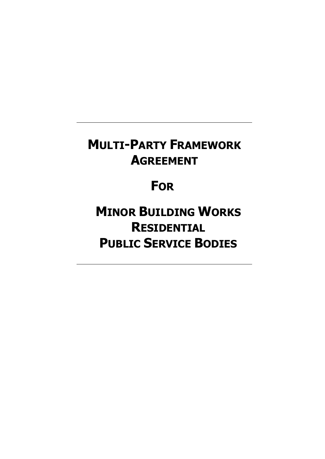# **MULTI-PARTY FRAMEWORK AGREEMENT**

# **FOR**

**MINOR BUILDING WORKS RESIDENTIAL PUBLIC SERVICE BODIES**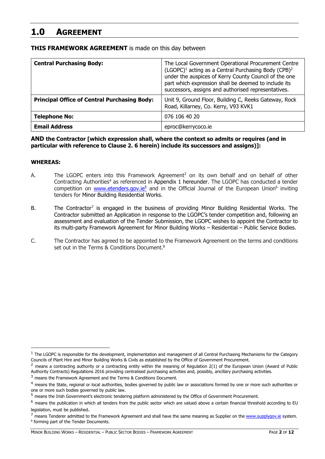# **1.0 AGREEMENT**

| <b>THIS FRAMEWORK AGREEMENT</b> is made on this day between |  |  |  |  |
|-------------------------------------------------------------|--|--|--|--|
|-------------------------------------------------------------|--|--|--|--|

| <b>Central Purchasing Body:</b>                     | The Local Government Operational Procurement Centre<br>(LGOPC) <sup>1</sup> acting as a Central Purchasing Body (CPB) <sup>2</sup><br>under the auspices of Kerry County Council of the one<br>part which expression shall be deemed to include its<br>successors, assigns and authorised representatives. |  |  |
|-----------------------------------------------------|------------------------------------------------------------------------------------------------------------------------------------------------------------------------------------------------------------------------------------------------------------------------------------------------------------|--|--|
| <b>Principal Office of Central Purchasing Body:</b> | Unit 9, Ground Floor, Building C, Reeks Gateway, Rock<br>Road, Killarney, Co. Kerry, V93 KVK1                                                                                                                                                                                                              |  |  |
| <b>Telephone No:</b>                                | 076 106 40 20                                                                                                                                                                                                                                                                                              |  |  |
| <b>Email Address</b>                                | eproc@kerrycoco.ie                                                                                                                                                                                                                                                                                         |  |  |

**AND the Contractor [which expression shall, where the context so admits or requires (and in particular with reference to Clause 2. 6 herein) include its successors and assigns)]:**

#### **WHEREAS:**

-

- A. The LGOPC enters into this Framework Agreement<sup>3</sup> on its own behalf and on behalf of other Contracting Authorities<sup>4</sup> as referenced in Appendix 1 hereunder. The LGOPC has conducted a tender competition on www.etenders.gov.ie<sup>5</sup> and in the Official Journal of the European Union<sup>6</sup> inviting tenders for Minor Building Residential Works.
- B. The Contractor<sup>7</sup> is engaged in the business of providing Minor Building Residential Works. The Contractor submitted an Application in response to the LGOPC's tender competition and, following an assessment and evaluation of the Tender Submission, the LGOPC wishes to appoint the Contractor to its multi-party Framework Agreement for Minor Building Works – Residential – Public Service Bodies.
- C. The Contractor has agreed to be appointed to the Framework Agreement on the terms and conditions set out in the Terms & Conditions Document.<sup>8</sup>

 $2$  means a contracting authority or a contracting entity within the meaning of Regulation 2(1) of the European Union (Award of Public Authority Contracts) Regulations 2016 providing centralised purchasing activities and, possibly, ancillary purchasing activities.

 $1$  The LGOPC is responsible for the development, implementation and management of all Central Purchasing Mechanisms for the Category Councils of Plant Hire and Minor Building Works & Civils as established by the Office of Government Procurement.

<sup>&</sup>lt;sup>3</sup> means the Framework Agreement and the Terms & Conditions Document.

<sup>&</sup>lt;sup>4</sup> means the State, regional or local authorities, bodies governed by public law or associations formed by one or more such authorities or one or more such bodies governed by public law.

<sup>5</sup> means the Irish Government's electronic tendering platform administered by the Office of Government Procurement.

 $6$  means the publication in which all tenders from the public sector which are valued above a certain financial threshold according to EU

legislation, must be published.<br><sup>7</sup> means Tenderer admitted to the Framework Agreement and shall have the same meaning as Supplier on the www.supplygov.ie system. <sup>8</sup> forming part of the Tender Documents.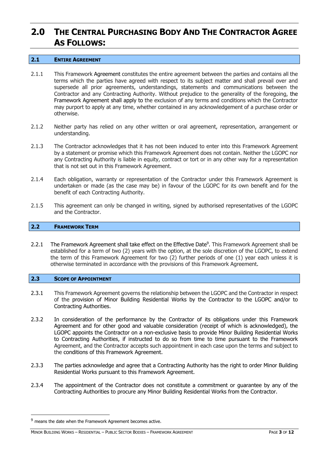# **2.0 THE CENTRAL PURCHASING BODY AND THE CONTRACTOR AGREE AS FOLLOWS:**

#### **2.1 ENTIRE AGREEMENT**

- 2.1.1 This Framework Agreement constitutes the entire agreement between the parties and contains all the terms which the parties have agreed with respect to its subject matter and shall prevail over and supersede all prior agreements, understandings, statements and communications between the Contractor and any Contracting Authority. Without prejudice to the generality of the foregoing, the Framework Agreement shall apply to the exclusion of any terms and conditions which the Contractor may purport to apply at any time, whether contained in any acknowledgement of a purchase order or otherwise.
- 2.1.2 Neither party has relied on any other written or oral agreement, representation, arrangement or understanding.
- 2.1.3 The Contractor acknowledges that it has not been induced to enter into this Framework Agreement by a statement or promise which this Framework Agreement does not contain. Neither the LGOPC nor any Contracting Authority is liable in equity, contract or tort or in any other way for a representation that is not set out in this Framework Agreement.
- 2.1.4 Each obligation, warranty or representation of the Contractor under this Framework Agreement is undertaken or made (as the case may be) in favour of the LGOPC for its own benefit and for the benefit of each Contracting Authority.
- 2.1.5 This agreement can only be changed in writing, signed by authorised representatives of the LGOPC and the Contractor.

#### **2.2 FRAMEWORK TERM**

2.2.1 The Framework Agreement shall take effect on the Effective Date<sup>9</sup>. This Framework Agreement shall be established for a term of two (2) years with the option, at the sole discretion of the LGOPC, to extend the term of this Framework Agreement for two (2) further periods of one (1) year each unless it is otherwise terminated in accordance with the provisions of this Framework Agreement.

#### **2.3 SCOPE OF APPOINTMENT**

- 2.3.1 This Framework Agreement governs the relationship between the LGOPC and the Contractor in respect of the provision of Minor Building Residential Works by the Contractor to the LGOPC and/or to Contracting Authorities.
- 2.3.2 In consideration of the performance by the Contractor of its obligations under this Framework Agreement and for other good and valuable consideration (receipt of which is acknowledged), the LGOPC appoints the Contractor on a non-exclusive basis to provide Minor Building Residential Works to Contracting Authorities, if instructed to do so from time to time pursuant to the Framework Agreement, and the Contractor accepts such appointment in each case upon the terms and subject to the conditions of this Framework Agreement.
- 2.3.3 The parties acknowledge and agree that a Contracting Authority has the right to order Minor Building Residential Works pursuant to this Framework Agreement.
- 2.3.4 The appointment of the Contractor does not constitute a commitment or guarantee by any of the Contracting Authorities to procure any Minor Building Residential Works from the Contractor.

<sup>&</sup>lt;sup>9</sup> means the date when the Framework Agreement becomes active.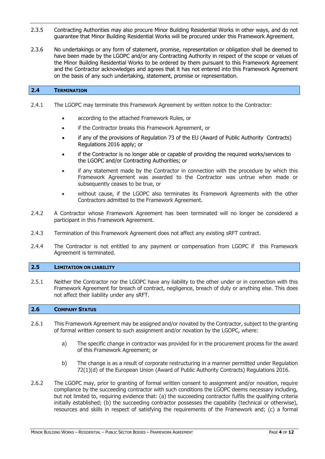- 2.3.5 Contracting Authorities may also procure Minor Building Residential Works in other ways, and do not guarantee that Minor Building Residential Works will be procured under this Framework Agreement.
- 2.3.6 No undertakings or any form of statement, promise, representation or obligation shall be deemed to have been made by the LGOPC and/or any Contracting Authority in respect of the scope or values of the Minor Building Residential Works to be ordered by them pursuant to this Framework Agreement and the Contractor acknowledges and agrees that it has not entered into this Framework Agreement on the basis of any such undertaking, statement, promise or representation.

#### **2.4 TERMINATION**

- 2.4.1 The LGOPC may terminate this Framework Agreement by written notice to the Contractor:
	- according to the attached Framework Rules, or
	- if the Contractor breaks this Framework Agreement, or
	- if any of the provisions of Regulation 73 of the EU (Award of Public Authority Contracts) Regulations 2016 apply; or
	- if the Contractor is no longer able or capable of providing the required works/services to the LGOPC and/or Contracting Authorities; or
	- if any statement made by the Contractor in connection with the procedure by which this Framework Agreement was awarded to the Contractor was untrue when made or subsequently ceases to be true, or
	- without cause, if the LGOPC also terminates its Framework Agreements with the other Contractors admitted to the Framework Agreement.
- 2.4.2 A Contractor whose Framework Agreement has been terminated will no longer be considered a participant in this Framework Agreement.
- 2.4.3 Termination of this Framework Agreement does not affect any existing sRFT contract.
- 2.4.4 The Contractor is not entitled to any payment or compensation from LGOPC if this Framework Agreement is terminated.

#### **2.5 LIMITATION ON LIABILITY**

2.5.1 Neither the Contractor nor the LGOPC have any liability to the other under or in connection with this Framework Agreement for breach of contract, negligence, breach of duty or anything else. This does not affect their liability under any sRFT.

#### **2.6 COMPANY STATUS**

- 2.6.1 This Framework Agreement may be assigned and/or novated by the Contractor, subject to the granting of formal written consent to such assignment and/or novation by the LGOPC, where:
	- a) The specific change in contractor was provided for in the procurement process for the award of this Framework Agreement; or
	- b) The change is as a result of corporate restructuring in a manner permitted under Regulation 72(1)(d) of the European Union (Award of Public Authority Contracts) Regulations 2016.
- 2.6.2 The LGOPC may, prior to granting of formal written consent to assignment and/or novation, require compliance by the succeeding contractor with such conditions the LGOPC deems necessary including, but not limited to, requiring evidence that: (a) the succeeding contractor fulfils the qualifying criteria initially established; (b) the succeeding contractor possesses the capability (technical or otherwise), resources and skills in respect of satisfying the requirements of the Framework and; (c) a formal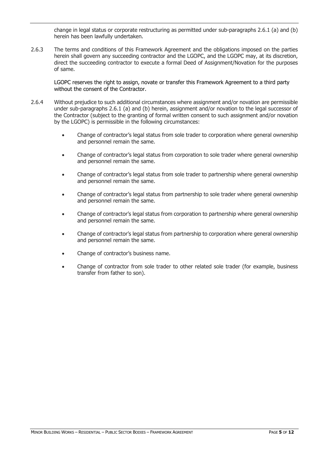change in legal status or corporate restructuring as permitted under sub-paragraphs 2.6.1 (a) and (b) herein has been lawfully undertaken.

2.6.3 The terms and conditions of this Framework Agreement and the obligations imposed on the parties herein shall govern any succeeding contractor and the LGOPC, and the LGOPC may, at its discretion, direct the succeeding contractor to execute a formal Deed of Assignment/Novation for the purposes of same.

LGOPC reserves the right to assign, novate or transfer this Framework Agreement to a third party without the consent of the Contractor.

- 2.6.4 Without prejudice to such additional circumstances where assignment and/or novation are permissible under sub-paragraphs 2.6.1 (a) and (b) herein, assignment and/or novation to the legal successor of the Contractor (subject to the granting of formal written consent to such assignment and/or novation by the LGOPC) is permissible in the following circumstances:
	- Change of contractor's legal status from sole trader to corporation where general ownership and personnel remain the same.
	- Change of contractor's legal status from corporation to sole trader where general ownership and personnel remain the same.
	- Change of contractor's legal status from sole trader to partnership where general ownership and personnel remain the same.
	- Change of contractor's legal status from partnership to sole trader where general ownership and personnel remain the same.
	- Change of contractor's legal status from corporation to partnership where general ownership and personnel remain the same.
	- Change of contractor's legal status from partnership to corporation where general ownership and personnel remain the same.
	- Change of contractor's business name.
	- Change of contractor from sole trader to other related sole trader (for example, business transfer from father to son).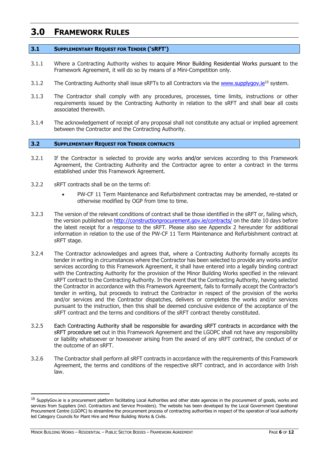# **3.0 FRAMEWORK RULES**

#### **3.1 SUPPLEMENTARY REQUEST FOR TENDER ('SRFT')**

- 3.1.1 Where a Contracting Authority wishes to acquire Minor Building Residential Works pursuant to the Framework Agreement, it will do so by means of a Mini-Competition only.
- 3.1.2 The Contracting Authority shall issue sRFTs to all Contractors via the www.supplygov.ie<sup>10</sup> system.
- 3.1.3 The Contractor shall comply with any procedures, processes, time limits, instructions or other requirements issued by the Contracting Authority in relation to the sRFT and shall bear all costs associated therewith.
- 3.1.4 The acknowledgement of receipt of any proposal shall not constitute any actual or implied agreement between the Contractor and the Contracting Authority.

#### **3.2 SUPPLEMENTARY REQUEST FOR TENDER CONTRACTS**

- 3.2.1 If the Contractor is selected to provide any works and/or services according to this Framework Agreement, the Contracting Authority and the Contractor agree to enter a contract in the terms established under this Framework Agreement.
- 3.2.2 sRFT contracts shall be on the terms of:
	- PW-CF 11 Term Maintenance and Refurbishment contractas may be amended, re-stated or otherwise modified by OGP from time to time.
- 3.2.3 The version of the relevant conditions of contract shall be those identified in the sRFT or, failing which, the version published on http://constructionprocurement.gov.ie/contracts/ on the date 10 days before the latest receipt for a response to the sRFT. Please also see Appendix 2 hereunder for additional information in relation to the use of the PW-CF 11 Term Maintenance and Refurbishment contract at sRFT stage.
- 3.2.4 The Contractor acknowledges and agrees that, where a Contracting Authority formally accepts its tender in writing in circumstances where the Contractor has been selected to provide any works and/or services according to this Framework Agreement, it shall have entered into a legally binding contract with the Contracting Authority for the provision of the Minor Building Works specified in the relevant sRFT contract to the Contracting Authority. In the event that the Contracting Authority, having selected the Contractor in accordance with this Framework Agreement, fails to formally accept the Contractor's tender in writing, but proceeds to instruct the Contractor in respect of the provision of the works and/or services and the Contractor dispatches, delivers or completes the works and/or services pursuant to the instruction, then this shall be deemed conclusive evidence of the acceptance of the sRFT contract and the terms and conditions of the sRFT contract thereby constituted.
- 3.2.5 Each Contracting Authority shall be responsible for awarding sRFT contracts in accordance with the sRFT procedure set out in this Framework Agreement and the LGOPC shall not have any responsibility or liability whatsoever or howsoever arising from the award of any sRFT contract, the conduct of or the outcome of an sRFT.
- 3.2.6 The Contractor shall perform all sRFT contracts in accordance with the requirements of this Framework Agreement, the terms and conditions of the respective sRFT contract, and in accordance with Irish law.

-

 $10$  SupplyGov.ie is a procurement platform facilitating Local Authorities and other state agencies in the procurement of goods, works and services from Suppliers (incl. Contractors and Service Providers). The website has been developed by the Local Government Operational Procurement Centre (LGOPC) to streamline the procurement process of contracting authorities in respect of the operation of local authority led Category Councils for Plant Hire and Minor Building Works & Civils.

MINOR BUILDING WORKS – RESIDENTIAL – PUBLIC SECTOR BODIES – FRAMEWORK AGREEMENT PAGE **6** OF **12**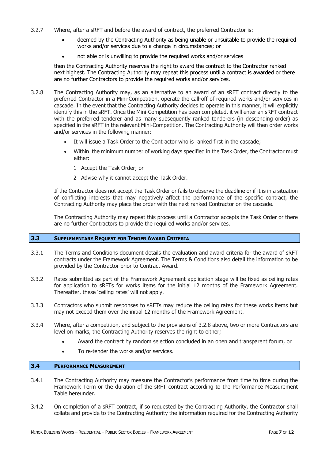- 3.2.7 Where, after a sRFT and before the award of contract, the preferred Contractor is:
	- deemed by the Contracting Authority as being unable or unsuitable to provide the required works and/or services due to a change in circumstances; or
	- not able or is unwilling to provide the required works and/or services

then the Contracting Authority reserves the right to award the contract to the Contractor ranked next highest. The Contracting Authority may repeat this process until a contract is awarded or there are no further Contractors to provide the required works and/or services.

- 3.2.8 The Contracting Authority may, as an alternative to an award of an sRFT contract directly to the preferred Contractor in a Mini-Competition, operate the call-off of required works and/or services in cascade. In the event that the Contracting Authority decides to operate in this manner, it will explicitly identify this in the sRFT. Once the Mini-Competition has been completed, it will enter an sRFT contract with the preferred tenderer and as many subsequently ranked tenderers (in descending order) as specified in the sRFT in the relevant Mini-Competition. The Contracting Authority will then order works and/or services in the following manner:
	- It will issue a Task Order to the Contractor who is ranked first in the cascade;
	- Within the minimum number of working days specified in the Task Order, the Contractor must either:
		- 1 Accept the Task Order; or
		- 2 Advise why it cannot accept the Task Order.

If the Contractor does not accept the Task Order or fails to observe the deadline or if it is in a situation of conflicting interests that may negatively affect the performance of the specific contract, the Contracting Authority may place the order with the next ranked Contractor on the cascade.

The Contracting Authority may repeat this process until a Contractor accepts the Task Order or there are no further Contractors to provide the required works and/or services.

## **3.3 SUPPLEMENTARY REQUEST FOR TENDER AWARD CRITERIA**

- 3.3.1 The Terms and Conditions document details the evaluation and award criteria for the award of sRFT contracts under the Framework Agreement. The Terms & Conditions also detail the information to be provided by the Contractor prior to Contract Award.
- 3.3.2 Rates submitted as part of the Framework Agreement application stage will be fixed as ceiling rates for application to sRFTs for works items for the initial 12 months of the Framework Agreement. Thereafter, these 'ceiling rates' will not apply.
- 3.3.3 Contractors who submit responses to sRFTs may reduce the ceiling rates for these works items but may not exceed them over the initial 12 months of the Framework Agreement.
- 3.3.4 Where, after a competition, and subject to the provisions of 3.2.8 above, two or more Contractors are level on marks, the Contracting Authority reserves the right to either;
	- Award the contract by random selection concluded in an open and transparent forum, or
	- To re-tender the works and/or services.

#### **3.4 PERFORMANCE MEASUREMENT**

- 3.4.1 The Contracting Authority may measure the Contractor's performance from time to time during the Framework Term or the duration of the sRFT contract according to the Performance Measurement Table hereunder.
- 3.4.2 On completion of a sRFT contract, if so requested by the Contracting Authority, the Contractor shall collate and provide to the Contracting Authority the information required for the Contracting Authority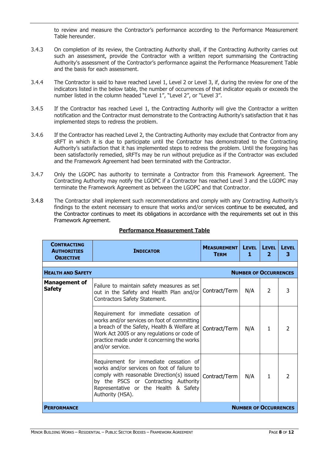to review and measure the Contractor's performance according to the Performance Measurement Table hereunder.

- 3.4.3 On completion of its review, the Contracting Authority shall, if the Contracting Authority carries out such an assessment, provide the Contractor with a written report summarising the Contracting Authority's assessment of the Contractor's performance against the Performance Measurement Table and the basis for each assessment.
- 3.4.4 The Contractor is said to have reached Level 1, Level 2 or Level 3, if, during the review for one of the indicators listed in the below table, the number of occurrences of that indicator equals or exceeds the number listed in the column headed "Level 1", "Level 2", or "Level 3".
- 3.4.5 If the Contractor has reached Level 1, the Contracting Authority will give the Contractor a written notification and the Contractor must demonstrate to the Contracting Authority's satisfaction that it has implemented steps to redress the problem.
- 3.4.6 If the Contractor has reached Level 2, the Contracting Authority may exclude that Contractor from any sRFT in which it is due to participate until the Contractor has demonstrated to the Contracting Authority's satisfaction that it has implemented steps to redress the problem. Until the foregoing has been satisfactorily remedied, sRFTs may be run without prejudice as if the Contractor was excluded and the Framework Agreement had been terminated with the Contractor.
- 3.4.7 Only the LGOPC has authority to terminate a Contractor from this Framework Agreement. The Contracting Authority may notify the LGOPC if a Contractor has reached Level 3 and the LGOPC may terminate the Framework Agreement as between the LGOPC and that Contractor.
- 3.4.8 The Contractor shall implement such recommendations and comply with any Contracting Authority's findings to the extent necessary to ensure that works and/or services continue to be executed, and the Contractor continues to meet its obligations in accordance with the requirements set out in this Framework Agreement.

| <b>CONTRACTING</b><br><b>AUTHORITIES</b><br><b>OBJECTIVE</b> | <b>INDICATOR</b>                                                                                                                                                                                                                                      | <b>MEASUREMENT</b><br><b>TERM</b> | LEVEL   LEVEL<br>1           | $\overline{\mathbf{2}}$ | <b>LEVEL</b><br>3 |
|--------------------------------------------------------------|-------------------------------------------------------------------------------------------------------------------------------------------------------------------------------------------------------------------------------------------------------|-----------------------------------|------------------------------|-------------------------|-------------------|
|                                                              |                                                                                                                                                                                                                                                       |                                   |                              |                         |                   |
| <b>HEALTH AND SAFETY</b>                                     |                                                                                                                                                                                                                                                       |                                   | <b>NUMBER OF OCCURRENCES</b> |                         |                   |
| <b>Management of</b><br><b>Safety</b>                        | Failure to maintain safety measures as set<br>out in the Safety and Health Plan and/or<br>Contractors Safety Statement.                                                                                                                               | Contract/Term                     | N/A                          | 2                       | 3                 |
|                                                              | Requirement for immediate cessation of<br>works and/or services on foot of committing<br>a breach of the Safety, Health & Welfare at<br>Work Act 2005 or any regulations or code of<br>practice made under it concerning the works<br>and/or service. | Contract/Term                     | N/A                          | 1                       | 2                 |
|                                                              | Requirement for immediate cessation of<br>works and/or services on foot of failure to<br>comply with reasonable Direction(s) issued<br>by the PSCS or Contracting Authority<br>Representative or the Health & Safety<br>Authority (HSA).              | Contract/Term                     | N/A                          | 1                       |                   |
| <b>NUMBER OF OCCURRENCES</b><br><b>PERFORMANCE</b>           |                                                                                                                                                                                                                                                       |                                   |                              |                         |                   |

## **Performance Measurement Table**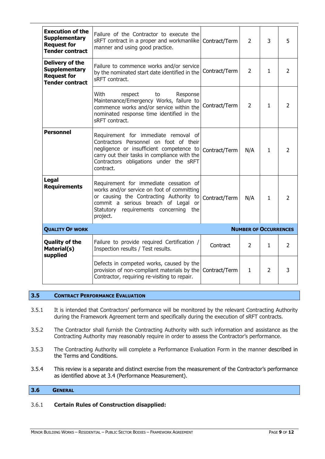| <b>Execution of the</b><br><b>Supplementary</b><br><b>Request for</b><br><b>Tender contract</b> | Failure of the Contractor to execute the<br>sRFT contract in a proper and workmanlike   Contract/Term<br>manner and using good practice.                                                                                          |               | $\overline{2}$ | 3              | 5              |
|-------------------------------------------------------------------------------------------------|-----------------------------------------------------------------------------------------------------------------------------------------------------------------------------------------------------------------------------------|---------------|----------------|----------------|----------------|
| Delivery of the<br><b>Supplementary</b><br><b>Request for</b><br><b>Tender contract</b>         | Failure to commence works and/or service<br>by the nominated start date identified in the<br>sRFT contract.                                                                                                                       | Contract/Term | 2              | 1              | $\overline{2}$ |
|                                                                                                 | With<br>Response<br>respect<br>to<br>Maintenance/Emergency Works, failure to<br>commence works and/or service within the<br>nominated response time identified in the<br>sRFT contract.                                           | Contract/Term | $\overline{2}$ | $\mathbf{1}$   | $\overline{2}$ |
| <b>Personnel</b>                                                                                | Requirement for immediate removal of<br>Contractors Personnel on foot of their<br>negligence or insufficient competence to<br>carry out their tasks in compliance with the<br>Contractors obligations under the sRFT<br>contract. | Contract/Term | N/A            | $\mathbf{1}$   | $\mathcal{P}$  |
| Legal<br><b>Requirements</b>                                                                    | Requirement for immediate cessation of<br>works and/or service on foot of committing<br>or causing the Contracting Authority to<br>commit a serious breach of Legal or<br>Statutory requirements concerning the<br>project.       | Contract/Term | N/A            | 1              | 2              |
| <b>QUALITY OF WORK</b><br><b>NUMBER OF OCCURRENCES</b>                                          |                                                                                                                                                                                                                                   |               |                |                |                |
| <b>Quality of the</b><br>Material(s)<br>supplied                                                | Failure to provide required Certification /<br>Inspection results / Test results.                                                                                                                                                 | Contract      | $\overline{2}$ | $\mathbf{1}$   | $\overline{2}$ |
|                                                                                                 | Defects in competed works, caused by the<br>provision of non-compliant materials by the<br>Contractor, requiring re-visiting to repair.                                                                                           | Contract/Term | $\mathbf{1}$   | $\overline{2}$ | 3              |

## **3.5 CONTRACT PERFORMANCE EVALUATION**

- 3.5.1 It is intended that Contractors' performance will be monitored by the relevant Contracting Authority during the Framework Agreement term and specifically during the execution of sRFT contracts.
- 3.5.2 The Contractor shall furnish the Contracting Authority with such information and assistance as the Contracting Authority may reasonably require in order to assess the Contractor's performance.
- 3.5.3 The Contracting Authority will complete a Performance Evaluation Form in the manner described in the Terms and Conditions.
- 3.5.4 This review is a separate and distinct exercise from the measurement of the Contractor's performance as identified above at 3.4 (Performance Measurement).

## **3.6 GENERAL**

### 3.6.1 **Certain Rules of Construction disapplied:**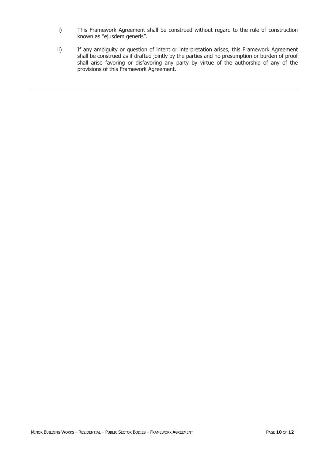- i) This Framework Agreement shall be construed without regard to the rule of construction known as "ejusdem generis".
- ii) If any ambiguity or question of intent or interpretation arises, this Framework Agreement shall be construed as if drafted jointly by the parties and no presumption or burden of proof shall arise favoring or disfavoring any party by virtue of the authorship of any of the provisions of this Framework Agreement.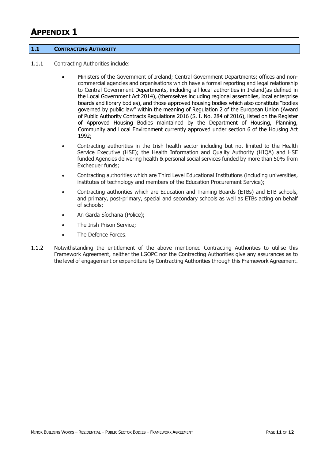# **APPENDIX 1**

### **1.1 CONTRACTING AUTHORITY**

- 1.1.1 Contracting Authorities include:
	- Ministers of the Government of Ireland; Central Government Departments; offices and noncommercial agencies and organisations which have a formal reporting and legal relationship to Central Government Departments, including all local authorities in Ireland(as defined in the Local Government Act 2014), (themselves including regional assemblies, local enterprise boards and library bodies), and those approved housing bodies which also constitute "bodies governed by public law" within the meaning of Regulation 2 of the European Union (Award of Public Authority Contracts Regulations 2016 (S. I. No. 284 of 2016), listed on the Register of Approved Housing Bodies maintained by the Department of Housing, Planning, Community and Local Environment currently approved under section 6 of the Housing Act 1992;
	- Contracting authorities in the Irish health sector including but not limited to the Health Service Executive (HSE); the Health Information and Quality Authority (HIQA) and HSE funded Agencies delivering health & personal social services funded by more than 50% from Exchequer funds;
	- Contracting authorities which are Third Level Educational Institutions (including universities, institutes of technology and members of the Education Procurement Service);
	- Contracting authorities which are Education and Training Boards (ETBs) and ETB schools, and primary, post-primary, special and secondary schools as well as ETBs acting on behalf of schools;
	- An Garda Síochana (Police);
	- The Irish Prison Service;
	- The Defence Forces.
- 1.1.2 Notwithstanding the entitlement of the above mentioned Contracting Authorities to utilise this Framework Agreement, neither the LGOPC nor the Contracting Authorities give any assurances as to the level of engagement or expenditure by Contracting Authorities through this Framework Agreement.